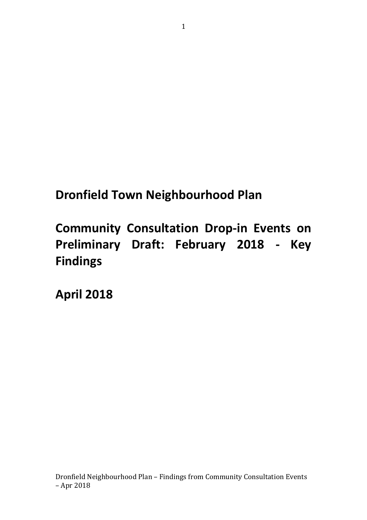# **Dronfield Town Neighbourhood Plan**

**Community Consultation Drop-in Events on Preliminary Draft: February 2018 - Key Findings**

**April 2018**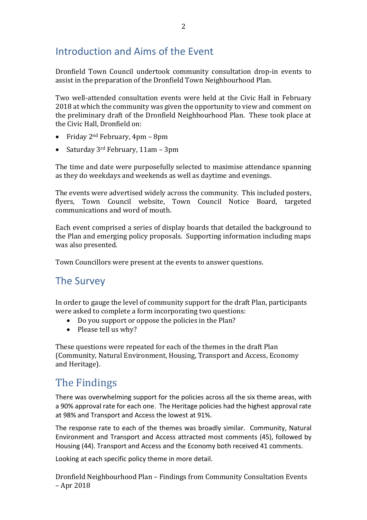## Introduction and Aims of the Event

Dronfield Town Council undertook community consultation drop-in events to assist in the preparation of the Dronfield Town Neighbourhood Plan.

Two well-attended consultation events were held at the Civic Hall in February 2018 at which the community was given the opportunity to view and comment on the preliminary draft of the Dronfield Neighbourhood Plan. These took place at the Civic Hall, Dronfield on:

- Friday  $2^{nd}$  February,  $4$ pm  $8$ pm
- Saturday  $3<sup>rd</sup>$  February, 11am 3pm

The time and date were purposefully selected to maximise attendance spanning as they do weekdays and weekends as well as daytime and evenings.

The events were advertised widely across the community. This included posters, flyers, Town Council website, Town Council Notice Board, targeted communications and word of mouth.

Each event comprised a series of display boards that detailed the background to the Plan and emerging policy proposals. Supporting information including maps was also presented.

Town Councillors were present at the events to answer questions.

## The Survey

In order to gauge the level of community support for the draft Plan, participants were asked to complete a form incorporating two questions:

- Do you support or oppose the policies in the Plan?
- Please tell us why?

These questions were repeated for each of the themes in the draft Plan (Community, Natural Environment, Housing, Transport and Access, Economy and Heritage).

## The Findings

There was overwhelming support for the policies across all the six theme areas, with a 90% approval rate for each one. The Heritage policies had the highest approval rate at 98% and Transport and Access the lowest at 91%.

The response rate to each of the themes was broadly similar. Community, Natural Environment and Transport and Access attracted most comments (45), followed by Housing (44). Transport and Access and the Economy both received 41 comments.

Looking at each specific policy theme in more detail.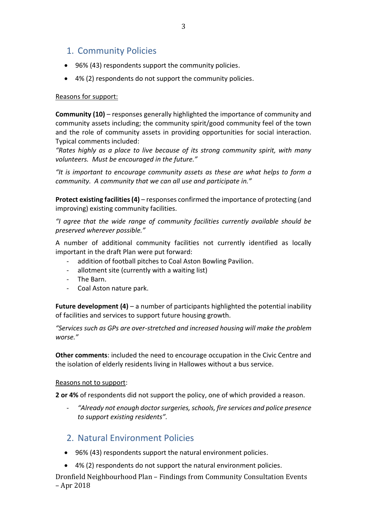## 1. Community Policies

- 96% (43) respondents support the community policies.
- 4% (2) respondents do not support the community policies.

#### Reasons for support:

**Community (10)** – responses generally highlighted the importance of community and community assets including; the community spirit/good community feel of the town and the role of community assets in providing opportunities for social interaction. Typical comments included:

*"Rates highly as a place to live because of its strong community spirit, with many volunteers. Must be encouraged in the future."*

*"It is important to encourage community assets as these are what helps to form a community. A community that we can all use and participate in."*

**Protect existing facilities (4)** – responses confirmed the importance of protecting (and improving) existing community facilities.

*"I agree that the wide range of community facilities currently available should be preserved wherever possible."*

A number of additional community facilities not currently identified as locally important in the draft Plan were put forward:

- addition of football pitches to Coal Aston Bowling Pavilion.
- allotment site (currently with a waiting list)
- The Barn.
- Coal Aston nature park.

**Future development (4)** – a number of participants highlighted the potential inability of facilities and services to support future housing growth.

*"Services such as GPs are over-stretched and increased housing will make the problem worse."*

**Other comments**: included the need to encourage occupation in the Civic Centre and the isolation of elderly residents living in Hallowes without a bus service.

#### Reasons not to support:

**2 or 4%** of respondents did not support the policy, one of which provided a reason.

- *"Already not enough doctor surgeries, schools, fire services and police presence to support existing residents".*

## 2. Natural Environment Policies

- 96% (43) respondents support the natural environment policies.
- 4% (2) respondents do not support the natural environment policies.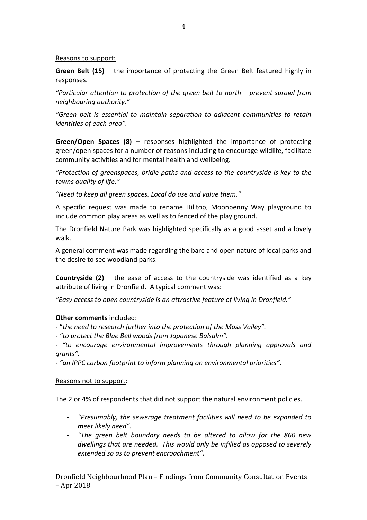#### Reasons to support:

**Green Belt (15)** – the importance of protecting the Green Belt featured highly in responses.

*"Particular attention to protection of the green belt to north – prevent sprawl from neighbouring authority."*

*"Green belt is essential to maintain separation to adjacent communities to retain identities of each area".*

**Green/Open Spaces (8)** – responses highlighted the importance of protecting green/open spaces for a number of reasons including to encourage wildlife, facilitate community activities and for mental health and wellbeing.

*"Protection of greenspaces, bridle paths and access to the countryside is key to the towns quality of life."*

*"Need to keep all green spaces. Local do use and value them."*

A specific request was made to rename Hilltop, Moonpenny Way playground to include common play areas as well as to fenced of the play ground.

The Dronfield Nature Park was highlighted specifically as a good asset and a lovely walk.

A general comment was made regarding the bare and open nature of local parks and the desire to see woodland parks.

**Countryside (2)** – the ease of access to the countryside was identified as a key attribute of living in Dronfield. A typical comment was:

*"Easy access to open countryside is an attractive feature of living in Dronfield."*

#### **Other comments** included:

- "*the need to research further into the protection of the Moss Valley".*

*- "to protect the Blue Bell woods from Japanese Balsalm".*

*- "to encourage environmental improvements through planning approvals and grants".*

*- "an IPPC carbon footprint to inform planning on environmental priorities"*.

#### Reasons not to support:

The 2 or 4% of respondents that did not support the natural environment policies.

- *"Presumably, the sewerage treatment facilities will need to be expanded to meet likely need".*
- *"The green belt boundary needs to be altered to allow for the 860 new dwellings that are needed. This would only be infilled as opposed to severely extended so as to prevent encroachment"*.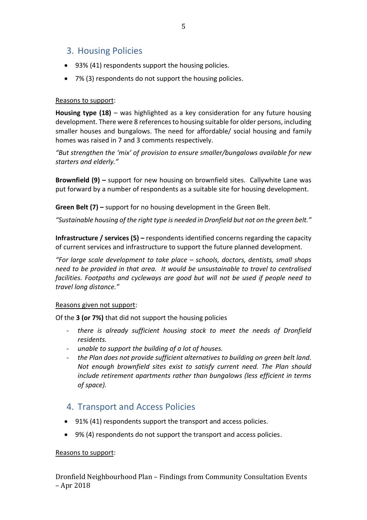### 3. Housing Policies

- 93% (41) respondents support the housing policies.
- 7% (3) respondents do not support the housing policies.

#### Reasons to support:

**Housing type (18)** – was highlighted as a key consideration for any future housing development. There were 8 references to housing suitable for older persons, including smaller houses and bungalows. The need for affordable/ social housing and family homes was raised in 7 and 3 comments respectively.

*"But strengthen the 'mix' of provision to ensure smaller/bungalows available for new starters and elderly."*

**Brownfield (9) –** support for new housing on brownfield sites. Callywhite Lane was put forward by a number of respondents as a suitable site for housing development.

**Green Belt (7) –** support for no housing development in the Green Belt.

*"Sustainable housing of the right type is needed in Dronfield but not on the green belt."*

**Infrastructure / services (5) –** respondents identified concerns regarding the capacity of current services and infrastructure to support the future planned development.

*"For large scale development to take place – schools, doctors, dentists, small shops need to be provided in that area. It would be unsustainable to travel to centralised facilities. Footpaths and cycleways are good but will not be used if people need to travel long distance."*

#### Reasons given not support:

Of the **3 (or 7%)** that did not support the housing policies

- *there is already sufficient housing stock to meet the needs of Dronfield residents.*
- *unable to support the building of a lot of houses.*
- *the Plan does not provide sufficient alternatives to building on green belt land. Not enough brownfield sites exist to satisfy current need. The Plan should include retirement apartments rather than bungalows (less efficient in terms of space).*

### 4. Transport and Access Policies

- 91% (41) respondents support the transport and access policies.
- 9% (4) respondents do not support the transport and access policies.

#### Reasons to support: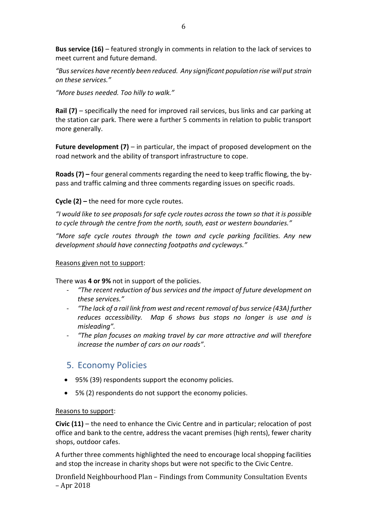**Bus service (16)** – featured strongly in comments in relation to the lack of services to meet current and future demand.

*"Bus services have recently been reduced. Any significant population rise will put strain on these services."*

*"More buses needed. Too hilly to walk."*

**Rail (7)** – specifically the need for improved rail services, bus links and car parking at the station car park. There were a further 5 comments in relation to public transport more generally.

**Future development (7)** – in particular, the impact of proposed development on the road network and the ability of transport infrastructure to cope.

**Roads (7) –** four general comments regarding the need to keep traffic flowing, the bypass and traffic calming and three comments regarding issues on specific roads.

**Cycle (2) –** the need for more cycle routes.

*"I would like to see proposals for safe cycle routes across the town so that it is possible to cycle through the centre from the north, south, east or western boundaries."*

*"More safe cycle routes through the town and cycle parking facilities. Any new development should have connecting footpaths and cycleways."*

#### Reasons given not to support:

There was **4 or 9%** not in support of the policies.

- *"The recent reduction of bus services and the impact of future development on these services."*
- *"The lack of a rail link from west and recent removal of bus service (43A) further reduces accessibility. Map 6 shows bus stops no longer is use and is misleading".*
- *"The plan focuses on making travel by car more attractive and will therefore increase the number of cars on our roads"*.

## 5. Economy Policies

- 95% (39) respondents support the economy policies.
- 5% (2) respondents do not support the economy policies.

#### Reasons to support:

**Civic (11)** – the need to enhance the Civic Centre and in particular; relocation of post office and bank to the centre, address the vacant premises (high rents), fewer charity shops, outdoor cafes.

A further three comments highlighted the need to encourage local shopping facilities and stop the increase in charity shops but were not specific to the Civic Centre.